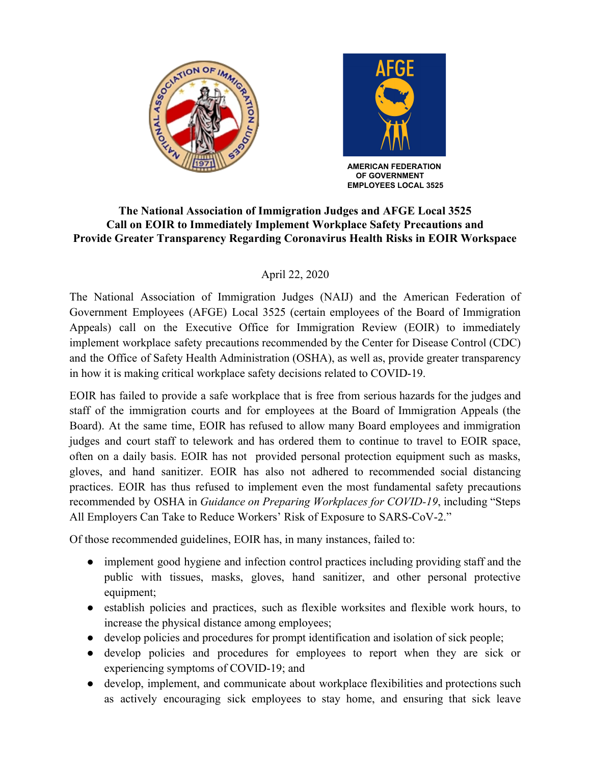



**AMERICAN FEDERATION OF GOVERNMENT EMPLOYEES LOCAL 3525**

## **The National Association of Immigration Judges and AFGE Local 3525 Call on EOIR to Immediately Implement Workplace Safety Precautions and Provide Greater Transparency Regarding Coronavirus Health Risks in EOIR Workspace**

## April 22, 2020

The National Association of Immigration Judges (NAIJ) and the American Federation of Government Employees (AFGE) Local 3525 (certain employees of the Board of Immigration Appeals) call on the Executive Office for Immigration Review (EOIR) to immediately implement workplace safety precautions recommended by the Center for Disease Control (CDC) and the Office of Safety Health Administration (OSHA), as well as, provide greater transparency in how it is making critical workplace safety decisions related to COVID-19.

EOIR has failed to provide a safe workplace that is free from serious hazards for the judges and staff of the immigration courts and for employees at the Board of Immigration Appeals (the Board). At the same time, EOIR has refused to allow many Board employees and immigration judges and court staff to telework and has ordered them to continue to travel to EOIR space, often on a daily basis. EOIR has not provided personal protection equipment such as masks, gloves, and hand sanitizer. EOIR has also not adhered to recommended social distancing practices. EOIR has thus refused to implement even the most fundamental safety precautions recommended by OSHA in *Guidance on Preparing Workplaces for COVID-19*, including "Steps All Employers Can Take to Reduce Workers' Risk of Exposure to SARS-CoV-2."

Of those recommended guidelines, EOIR has, in many instances, failed to:

- implement good hygiene and infection control practices including providing staff and the public with tissues, masks, gloves, hand sanitizer, and other personal protective equipment;
- establish policies and practices, such as flexible worksites and flexible work hours, to increase the physical distance among employees;
- develop policies and procedures for prompt identification and isolation of sick people;
- develop policies and procedures for employees to report when they are sick or experiencing symptoms of COVID-19; and
- develop, implement, and communicate about workplace flexibilities and protections such as actively encouraging sick employees to stay home, and ensuring that sick leave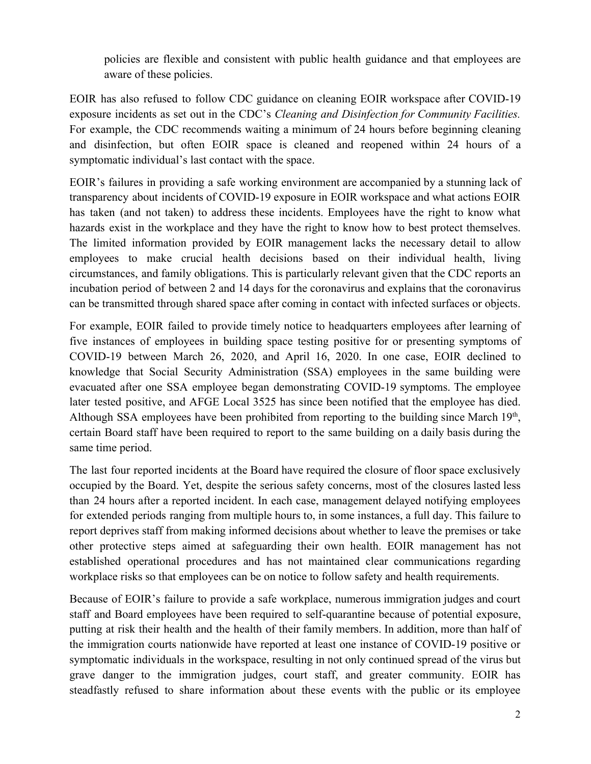policies are flexible and consistent with public health guidance and that employees are aware of these policies.

EOIR has also refused to follow CDC guidance on cleaning EOIR workspace after COVID-19 exposure incidents as set out in the CDC's *Cleaning and Disinfection for Community Facilities.* For example, the CDC recommends waiting a minimum of 24 hours before beginning cleaning and disinfection, but often EOIR space is cleaned and reopened within 24 hours of a symptomatic individual's last contact with the space.

EOIR's failures in providing a safe working environment are accompanied by a stunning lack of transparency about incidents of COVID-19 exposure in EOIR workspace and what actions EOIR has taken (and not taken) to address these incidents. Employees have the right to know what hazards exist in the workplace and they have the right to know how to best protect themselves. The limited information provided by EOIR management lacks the necessary detail to allow employees to make crucial health decisions based on their individual health, living circumstances, and family obligations. This is particularly relevant given that the CDC reports an incubation period of between 2 and 14 days for the coronavirus and explains that the coronavirus can be transmitted through shared space after coming in contact with infected surfaces or objects.

For example, EOIR failed to provide timely notice to headquarters employees after learning of five instances of employees in building space testing positive for or presenting symptoms of COVID-19 between March 26, 2020, and April 16, 2020. In one case, EOIR declined to knowledge that Social Security Administration (SSA) employees in the same building were evacuated after one SSA employee began demonstrating COVID-19 symptoms. The employee later tested positive, and AFGE Local 3525 has since been notified that the employee has died. Although SSA employees have been prohibited from reporting to the building since March  $19<sup>th</sup>$ , certain Board staff have been required to report to the same building on a daily basis during the same time period.

The last four reported incidents at the Board have required the closure of floor space exclusively occupied by the Board. Yet, despite the serious safety concerns, most of the closures lasted less than 24 hours after a reported incident. In each case, management delayed notifying employees for extended periods ranging from multiple hours to, in some instances, a full day. This failure to report deprives staff from making informed decisions about whether to leave the premises or take other protective steps aimed at safeguarding their own health. EOIR management has not established operational procedures and has not maintained clear communications regarding workplace risks so that employees can be on notice to follow safety and health requirements.

Because of EOIR's failure to provide a safe workplace, numerous immigration judges and court staff and Board employees have been required to self-quarantine because of potential exposure, putting at risk their health and the health of their family members. In addition, more than half of the immigration courts nationwide have reported at least one instance of COVID-19 positive or symptomatic individuals in the workspace, resulting in not only continued spread of the virus but grave danger to the immigration judges, court staff, and greater community. EOIR has steadfastly refused to share information about these events with the public or its employee